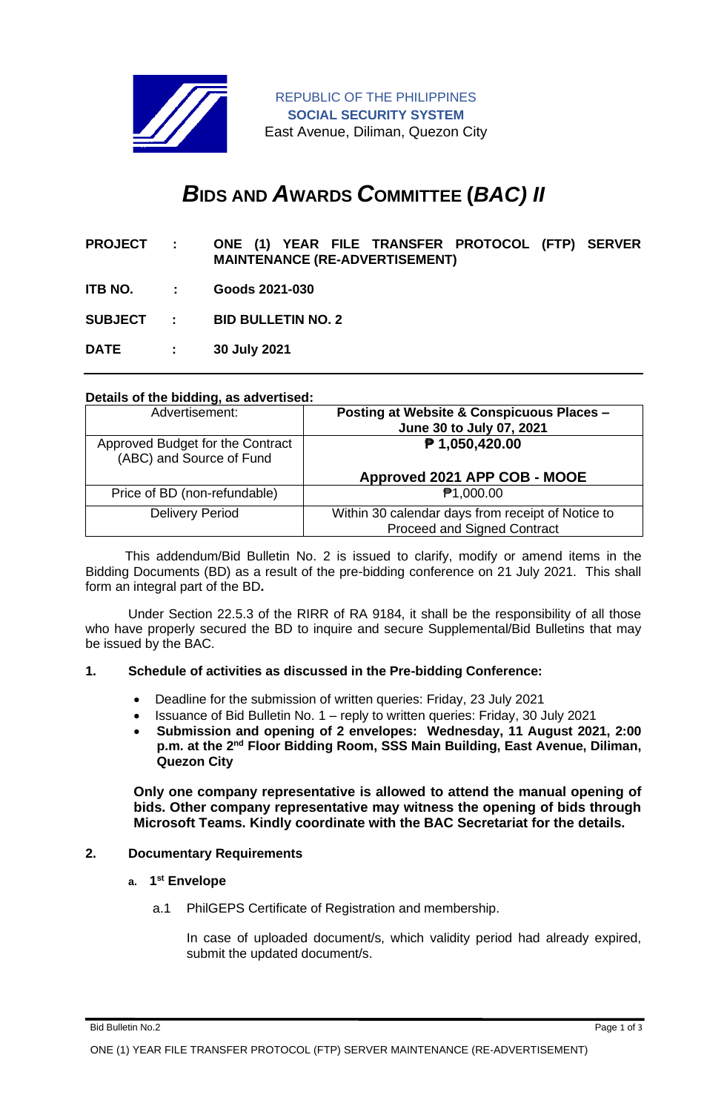

REPUBLIC OF THE PHILIPPINES **SOCIAL SECURITY SYSTEM** East Avenue, Diliman, Quezon City

# *B***IDS AND** *A***WARDS** *C***OMMITTEE (***BAC) II*

- **PROJECT : ONE (1) YEAR FILE TRANSFER PROTOCOL (FTP) SERVER MAINTENANCE (RE-ADVERTISEMENT)**
- **ITB NO. : Goods 2021-030**

**SUBJECT : BID BULLETIN NO. 2**

**DATE : 30 July 2021**

### **Details of the bidding, as advertised:**

| Advertisement:                                               | <b>Posting at Website &amp; Conspicuous Places -</b><br>June 30 to July 07, 2021 |
|--------------------------------------------------------------|----------------------------------------------------------------------------------|
| Approved Budget for the Contract<br>(ABC) and Source of Fund | ₱ 1,050,420.00                                                                   |
|                                                              | Approved 2021 APP COB - MOOE                                                     |
| Price of BD (non-refundable)                                 | <b>₱1,000.00</b>                                                                 |
| <b>Delivery Period</b>                                       | Within 30 calendar days from receipt of Notice to<br>Proceed and Signed Contract |

 This addendum/Bid Bulletin No. 2 is issued to clarify, modify or amend items in the Bidding Documents (BD) as a result of the pre-bidding conference on 21 July 2021. This shall form an integral part of the BD**.**

Under Section 22.5.3 of the RIRR of RA 9184, it shall be the responsibility of all those who have properly secured the BD to inquire and secure Supplemental/Bid Bulletins that may be issued by the BAC.

#### **1. Schedule of activities as discussed in the Pre-bidding Conference:**

- Deadline for the submission of written queries: Friday, 23 July 2021
- Issuance of Bid Bulletin No. 1 reply to written queries: Friday, 30 July 2021
- **Submission and opening of 2 envelopes: Wednesday, 11 August 2021, 2:00 p.m. at the 2nd Floor Bidding Room, SSS Main Building, East Avenue, Diliman, Quezon City**

**Only one company representative is allowed to attend the manual opening of bids. Other company representative may witness the opening of bids through Microsoft Teams. Kindly coordinate with the BAC Secretariat for the details.**

#### **2. Documentary Requirements**

#### **a. 1 st Envelope**

a.1 PhilGEPS Certificate of Registration and membership.

In case of uploaded document/s, which validity period had already expired, submit the updated document/s.

Bid Bulletin No.2 Page 1 of 3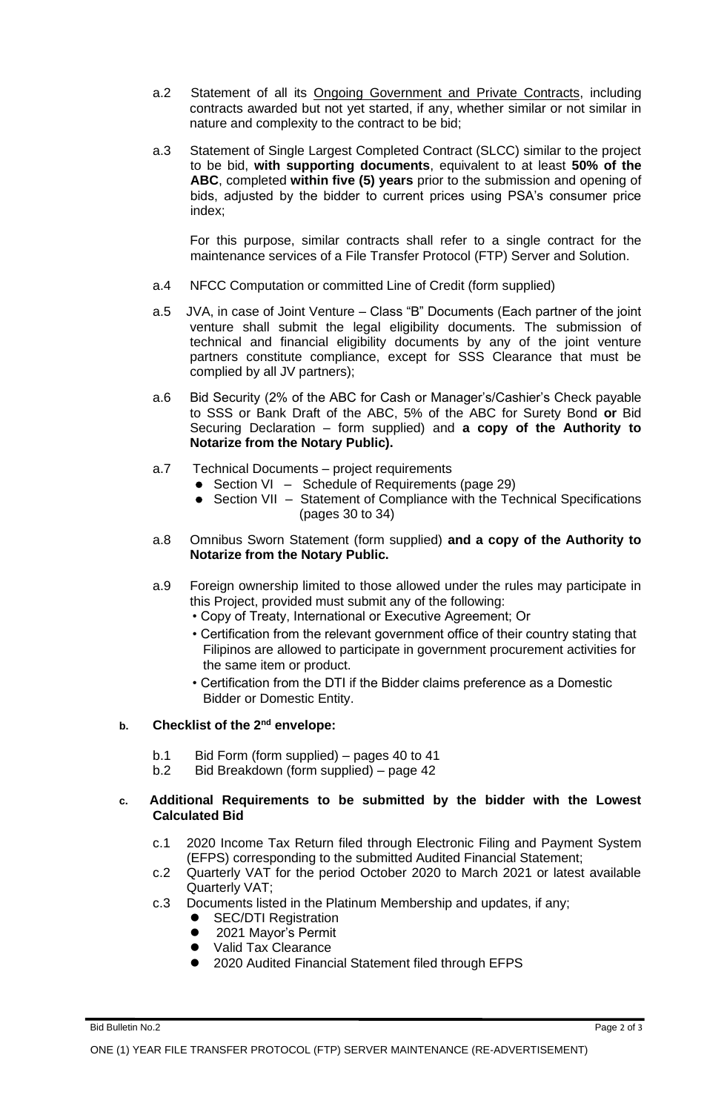- a.2 Statement of all its Ongoing Government and Private Contracts, including contracts awarded but not yet started, if any, whether similar or not similar in nature and complexity to the contract to be bid;
- a.3 Statement of Single Largest Completed Contract (SLCC) similar to the project to be bid, **with supporting documents**, equivalent to at least **50% of the ABC**, completed **within five (5) years** prior to the submission and opening of bids, adjusted by the bidder to current prices using PSA's consumer price index;

For this purpose, similar contracts shall refer to a single contract for the maintenance services of a File Transfer Protocol (FTP) Server and Solution.

- a.4 NFCC Computation or committed Line of Credit (form supplied)
- a.5 JVA, in case of Joint Venture Class "B" Documents (Each partner of the joint venture shall submit the legal eligibility documents. The submission of technical and financial eligibility documents by any of the joint venture partners constitute compliance, except for SSS Clearance that must be complied by all JV partners);
- a.6 Bid Security (2% of the ABC for Cash or Manager's/Cashier's Check payable to SSS or Bank Draft of the ABC, 5% of the ABC for Surety Bond **or** Bid Securing Declaration – form supplied) and **a copy of the Authority to Notarize from the Notary Public).**
- a.7 Technical Documents project requirements
	- Section VI Schedule of Requirements (page 29)
	- Section VII Statement of Compliance with the Technical Specifications (pages 30 to 34)
- a.8 Omnibus Sworn Statement (form supplied) **and a copy of the Authority to Notarize from the Notary Public.**
- a.9 Foreign ownership limited to those allowed under the rules may participate in this Project, provided must submit any of the following:
	- Copy of Treaty, International or Executive Agreement; Or
	- Certification from the relevant government office of their country stating that Filipinos are allowed to participate in government procurement activities for the same item or product.
	- Certification from the DTI if the Bidder claims preference as a Domestic Bidder or Domestic Entity.

# **b. Checklist of the 2nd envelope:**

- b.1 Bid Form (form supplied) pages 40 to 41
- b.2 Bid Breakdown (form supplied) page 42

# **c. Additional Requirements to be submitted by the bidder with the Lowest Calculated Bid**

- c.1 2020 Income Tax Return filed through Electronic Filing and Payment System (EFPS) corresponding to the submitted Audited Financial Statement;
- c.2 Quarterly VAT for the period October 2020 to March 2021 or latest available Quarterly VAT;
- c.3 Documents listed in the Platinum Membership and updates, if any;
	- **SEC/DTI Registration**
	- 2021 Mayor's Permit
	- ⚫ Valid Tax Clearance
	- ⚫ 2020 Audited Financial Statement filed through EFPS

Bid Bulletin No.2 Page 2 of 3